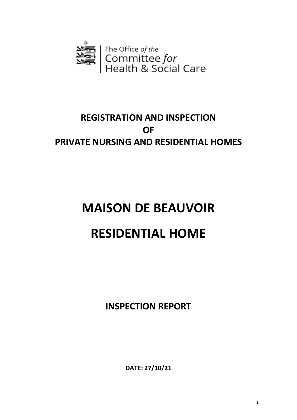

# **REGISTRATION AND INSPECTION OF PRIVATE NURSING AND RESIDENTIAL HOMES**

# **MAISON DE BEAUVOIR RESIDENTIAL HOME**

**INSPECTION REPORT**

**DATE: 27/10/21**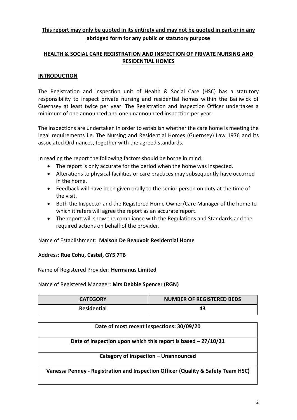# **This report may only be quoted in its entirety and may not be quoted in part or in any abridged form for any public or statutory purpose**

## **HEALTH & SOCIAL CARE REGISTRATION AND INSPECTION OF PRIVATE NURSING AND RESIDENTIAL HOMES**

#### **INTRODUCTION**

The Registration and Inspection unit of Health & Social Care (HSC) has a statutory responsibility to inspect private nursing and residential homes within the Bailiwick of Guernsey at least twice per year. The Registration and Inspection Officer undertakes a minimum of one announced and one unannounced inspection per year.

The inspections are undertaken in order to establish whether the care home is meeting the legal requirements i.e. The Nursing and Residential Homes (Guernsey) Law 1976 and its associated Ordinances, together with the agreed standards.

In reading the report the following factors should be borne in mind:

- The report is only accurate for the period when the home was inspected.
- Alterations to physical facilities or care practices may subsequently have occurred in the home.
- Feedback will have been given orally to the senior person on duty at the time of the visit.
- Both the Inspector and the Registered Home Owner/Care Manager of the home to which it refers will agree the report as an accurate report.
- The report will show the compliance with the Regulations and Standards and the required actions on behalf of the provider.

Name of Establishment: **Maison De Beauvoir Residential Home**

#### Address: **Rue Cohu, Castel, GY5 7TB**

Name of Registered Provider: **Hermanus Limited**

Name of Registered Manager: **Mrs Debbie Spencer (RGN)**

| <b>CATEGORY</b>    | <b>NUMBER OF REGISTERED BEDS</b> |
|--------------------|----------------------------------|
| <b>Residential</b> | 43.                              |

| Date of most recent inspections: 30/09/20                                        |  |  |  |  |
|----------------------------------------------------------------------------------|--|--|--|--|
| Date of inspection upon which this report is based - 27/10/21                    |  |  |  |  |
| Category of inspection - Unannounced                                             |  |  |  |  |
| Vanessa Penney - Registration and Inspection Officer (Quality & Safety Team HSC) |  |  |  |  |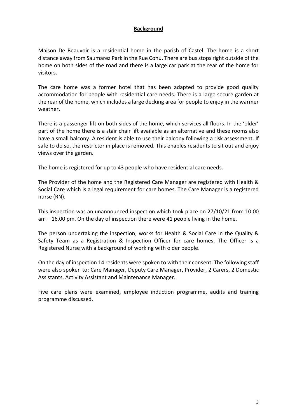#### **Background**

Maison De Beauvoir is a residential home in the parish of Castel. The home is a short distance away from Saumarez Park in the Rue Cohu. There are bus stops right outside of the home on both sides of the road and there is a large car park at the rear of the home for visitors.

The care home was a former hotel that has been adapted to provide good quality accommodation for people with residential care needs. There is a large secure garden at the rear of the home, which includes a large decking area for people to enjoy in the warmer weather.

There is a passenger lift on both sides of the home, which services all floors. In the 'older' part of the home there is a stair chair lift available as an alternative and these rooms also have a small balcony. A resident is able to use their balcony following a risk assessment. If safe to do so, the restrictor in place is removed. This enables residents to sit out and enjoy views over the garden.

The home is registered for up to 43 people who have residential care needs.

The Provider of the home and the Registered Care Manager are registered with Health & Social Care which is a legal requirement for care homes. The Care Manager is a registered nurse (RN).

This inspection was an unannounced inspection which took place on 27/10/21 from 10.00 am – 16.00 pm. On the day of inspection there were 41 people living in the home.

The person undertaking the inspection, works for Health & Social Care in the Quality & Safety Team as a Registration & Inspection Officer for care homes. The Officer is a Registered Nurse with a background of working with older people.

On the day of inspection 14 residents were spoken to with their consent. The following staff were also spoken to; Care Manager, Deputy Care Manager, Provider, 2 Carers, 2 Domestic Assistants, Activity Assistant and Maintenance Manager.

Five care plans were examined, employee induction programme, audits and training programme discussed.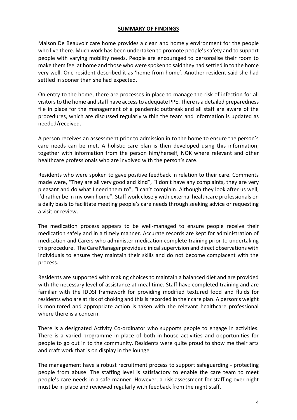#### **SUMMARY OF FINDINGS**

Maison De Beauvoir care home provides a clean and homely environment for the people who live there. Much work has been undertaken to promote people's safety and to support people with varying mobility needs. People are encouraged to personalise their room to make them feel at home and those who were spoken to said they had settled in to the home very well. One resident described it as 'home from home'. Another resident said she had settled in sooner than she had expected.

On entry to the home, there are processes in place to manage the risk of infection for all visitors to the home and staff have access to adequate PPE. There is a detailed preparedness file in place for the management of a pandemic outbreak and all staff are aware of the procedures, which are discussed regularly within the team and information is updated as needed/received.

A person receives an assessment prior to admission in to the home to ensure the person's care needs can be met. A holistic care plan is then developed using this information; together with information from the person him/herself, NOK where relevant and other healthcare professionals who are involved with the person's care.

Residents who were spoken to gave positive feedback in relation to their care. Comments made were, "They are all very good and kind", "I don't have any complaints, they are very pleasant and do what I need them to", "I can't complain. Although they look after us well, I'd rather be in my own home". Staff work closely with external healthcare professionals on a daily basis to facilitate meeting people's care needs through seeking advice or requesting a visit or review.

The medication process appears to be well-managed to ensure people receive their medication safely and in a timely manner. Accurate records are kept for administration of medication and Carers who administer medication complete training prior to undertaking this procedure. The Care Manager provides clinical supervision and direct observations with individuals to ensure they maintain their skills and do not become complacent with the process.

Residents are supported with making choices to maintain a balanced diet and are provided with the necessary level of assistance at meal time. Staff have completed training and are familiar with the IDDSI framework for providing modified textured food and fluids for residents who are at risk of choking and this is recorded in their care plan. A person's weight is monitored and appropriate action is taken with the relevant healthcare professional where there is a concern.

There is a designated Activity Co-ordinator who supports people to engage in activities. There is a varied programme in place of both in-house activities and opportunities for people to go out in to the community. Residents were quite proud to show me their arts and craft work that is on display in the lounge.

The management have a robust recruitment process to support safeguarding - protecting people from abuse. The staffing level is satisfactory to enable the care team to meet people's care needs in a safe manner. However, a risk assessment for staffing over night must be in place and reviewed regularly with feedback from the night staff.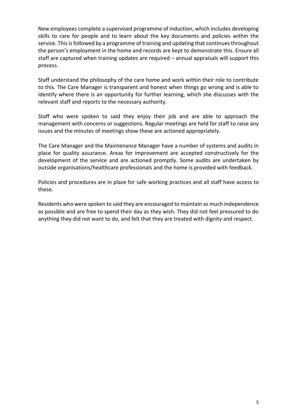New employees complete a supervised programme of induction, which includes developing skills to care for people and to learn about the key documents and policies within the service. This is followed by a programme of training and updating that continues throughout the person's employment in the home and records are kept to demonstrate this. Ensure all staff are captured when training updates are required – annual appraisals will support this process.

Staff understand the philosophy of the care home and work within their role to contribute to this. The Care Manager is transparent and honest when things go wrong and is able to identify where there is an opportunity for further learning, which she discusses with the relevant staff and reports to the necessary authority.

Staff who were spoken to said they enjoy their job and are able to approach the management with concerns or suggestions. Regular meetings are held for staff to raise any issues and the minutes of meetings show these are actioned appropriately.

The Care Manager and the Maintenance Manager have a number of systems and audits in place for quality assurance. Areas for improvement are accepted constructively for the development of the service and are actioned promptly. Some audits are undertaken by outside organisations/healthcare professionals and the home is provided with feedback.

Policies and procedures are in place for safe working practices and all staff have access to these.

Residents who were spoken to said they are encouraged to maintain as much independence as possible and are free to spend their day as they wish. They did not feel pressured to do anything they did not want to do, and felt that they are treated with dignity and respect.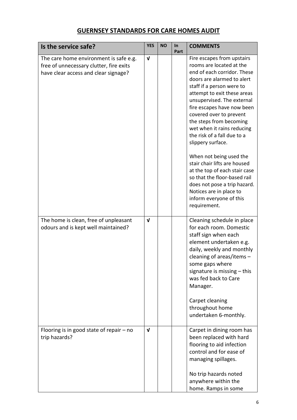# **GUERNSEY STANDARDS FOR CARE HOMES AUDIT**

| Is the service safe?                                                                                                      | <b>YES</b>   | <b>NO</b> | In<br>Part | <b>COMMENTS</b>                                                                                                                                                                                                                                                                                                                                                                                                                                                                                                                                                                                                       |
|---------------------------------------------------------------------------------------------------------------------------|--------------|-----------|------------|-----------------------------------------------------------------------------------------------------------------------------------------------------------------------------------------------------------------------------------------------------------------------------------------------------------------------------------------------------------------------------------------------------------------------------------------------------------------------------------------------------------------------------------------------------------------------------------------------------------------------|
| The care home environment is safe e.g.<br>free of unnecessary clutter, fire exits<br>have clear access and clear signage? | $\mathbf{v}$ |           |            | Fire escapes from upstairs<br>rooms are located at the<br>end of each corridor. These<br>doors are alarmed to alert<br>staff if a person were to<br>attempt to exit these areas<br>unsupervised. The external<br>fire escapes have now been<br>covered over to prevent<br>the steps from becoming<br>wet when it rains reducing<br>the risk of a fall due to a<br>slippery surface.<br>When not being used the<br>stair chair lifts are housed<br>at the top of each stair case<br>so that the floor-based rail<br>does not pose a trip hazard.<br>Notices are in place to<br>inform everyone of this<br>requirement. |
| The home is clean, free of unpleasant<br>odours and is kept well maintained?                                              | $\mathbf{v}$ |           |            | Cleaning schedule in place<br>for each room. Domestic<br>staff sign when each<br>element undertaken e.g.<br>daily, weekly and monthly<br>cleaning of areas/items -<br>some gaps where<br>signature is missing $-$ this<br>was fed back to Care<br>Manager.<br>Carpet cleaning<br>throughout home<br>undertaken 6-monthly.                                                                                                                                                                                                                                                                                             |
| Flooring is in good state of repair $-$ no<br>trip hazards?                                                               | $\mathbf v$  |           |            | Carpet in dining room has<br>been replaced with hard<br>flooring to aid infection<br>control and for ease of<br>managing spillages.<br>No trip hazards noted<br>anywhere within the<br>home. Ramps in some                                                                                                                                                                                                                                                                                                                                                                                                            |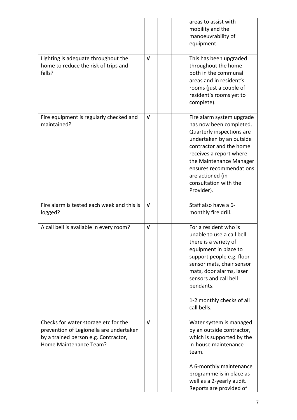|                                                                                                                                                   |              |  | areas to assist with<br>mobility and the<br>manoeuvrability of<br>equipment.                                                                                                                                                                                                         |
|---------------------------------------------------------------------------------------------------------------------------------------------------|--------------|--|--------------------------------------------------------------------------------------------------------------------------------------------------------------------------------------------------------------------------------------------------------------------------------------|
| Lighting is adequate throughout the<br>home to reduce the risk of trips and<br>falls?                                                             | $\mathbf{v}$ |  | This has been upgraded<br>throughout the home<br>both in the communal<br>areas and in resident's<br>rooms (just a couple of<br>resident's rooms yet to<br>complete).                                                                                                                 |
| Fire equipment is regularly checked and<br>maintained?                                                                                            | $\mathbf{v}$ |  | Fire alarm system upgrade<br>has now been completed.<br>Quarterly inspections are<br>undertaken by an outside<br>contractor and the home<br>receives a report where<br>the Maintenance Manager<br>ensures recommendations<br>are actioned (in<br>consultation with the<br>Provider). |
| Fire alarm is tested each week and this is<br>logged?                                                                                             | $\mathbf{v}$ |  | Staff also have a 6-<br>monthly fire drill.                                                                                                                                                                                                                                          |
| A call bell is available in every room?                                                                                                           | $\mathbf{v}$ |  | For a resident who is<br>unable to use a call bell<br>there is a variety of<br>equipment in place to<br>support people e.g. floor<br>sensor mats, chair sensor<br>mats, door alarms, laser<br>sensors and call bell<br>pendants.<br>1-2 monthly checks of all<br>call bells.         |
|                                                                                                                                                   |              |  |                                                                                                                                                                                                                                                                                      |
| Checks for water storage etc for the<br>prevention of Legionella are undertaken<br>by a trained person e.g. Contractor,<br>Home Maintenance Team? | $\mathbf{v}$ |  | Water system is managed<br>by an outside contractor,<br>which is supported by the<br>in-house maintenance<br>team.                                                                                                                                                                   |
|                                                                                                                                                   |              |  | A 6-monthly maintenance<br>programme is in place as<br>well as a 2-yearly audit.<br>Reports are provided of                                                                                                                                                                          |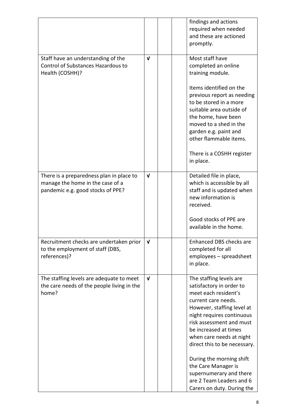|                                                                                                 |              |  | findings and actions<br>required when needed<br>and these are actioned<br>promptly.                                                                                                                                                                                                                                                                                                                                    |
|-------------------------------------------------------------------------------------------------|--------------|--|------------------------------------------------------------------------------------------------------------------------------------------------------------------------------------------------------------------------------------------------------------------------------------------------------------------------------------------------------------------------------------------------------------------------|
| Staff have an understanding of the<br>Control of Substances Hazardous to<br>Health (COSHH)?     | V            |  | Most staff have<br>completed an online<br>training module.                                                                                                                                                                                                                                                                                                                                                             |
|                                                                                                 |              |  | Items identified on the<br>previous report as needing<br>to be stored in a more<br>suitable area outside of<br>the home, have been<br>moved to a shed in the<br>garden e.g. paint and<br>other flammable items.<br>There is a COSHH register<br>in place.                                                                                                                                                              |
| There is a preparedness plan in place to                                                        | $\mathbf v$  |  | Detailed file in place,                                                                                                                                                                                                                                                                                                                                                                                                |
| manage the home in the case of a<br>pandemic e.g. good stocks of PPE?                           |              |  | which is accessible by all<br>staff and is updated when<br>new information is<br>received.                                                                                                                                                                                                                                                                                                                             |
|                                                                                                 |              |  | Good stocks of PPE are<br>available in the home.                                                                                                                                                                                                                                                                                                                                                                       |
| Recruitment checks are undertaken prior<br>to the employment of staff (DBS,<br>references)?     | $\mathbf{v}$ |  | <b>Enhanced DBS checks are</b><br>completed for all<br>employees - spreadsheet<br>in place.                                                                                                                                                                                                                                                                                                                            |
| The staffing levels are adequate to meet<br>the care needs of the people living in the<br>home? | $\mathbf{v}$ |  | The staffing levels are<br>satisfactory in order to<br>meet each resident's<br>current care needs.<br>However, staffing level at<br>night requires continuous<br>risk assessment and must<br>be increased at times<br>when care needs at night<br>direct this to be necessary.<br>During the morning shift<br>the Care Manager is<br>supernumerary and there<br>are 2 Team Leaders and 6<br>Carers on duty. During the |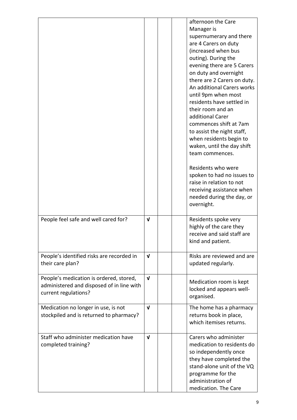|                                                                                                              |              |  | afternoon the Care<br>Manager is<br>supernumerary and there<br>are 4 Carers on duty<br>(increased when bus<br>outing). During the<br>evening there are 5 Carers<br>on duty and overnight<br>there are 2 Carers on duty.<br>An additional Carers works<br>until 9pm when most<br>residents have settled in<br>their room and an<br>additional Carer<br>commences shift at 7am<br>to assist the night staff,<br>when residents begin to<br>waken, until the day shift<br>team commences.<br>Residents who were<br>spoken to had no issues to<br>raise in relation to not<br>receiving assistance when<br>needed during the day, or<br>overnight. |
|--------------------------------------------------------------------------------------------------------------|--------------|--|------------------------------------------------------------------------------------------------------------------------------------------------------------------------------------------------------------------------------------------------------------------------------------------------------------------------------------------------------------------------------------------------------------------------------------------------------------------------------------------------------------------------------------------------------------------------------------------------------------------------------------------------|
| People feel safe and well cared for?                                                                         | $\mathbf v$  |  | Residents spoke very<br>highly of the care they<br>receive and said staff are<br>kind and patient.                                                                                                                                                                                                                                                                                                                                                                                                                                                                                                                                             |
| People's identified risks are recorded in<br>their care plan?                                                | $\mathbf{v}$ |  | Risks are reviewed and are<br>updated regularly.                                                                                                                                                                                                                                                                                                                                                                                                                                                                                                                                                                                               |
| People's medication is ordered, stored,<br>administered and disposed of in line with<br>current regulations? | $\mathbf v$  |  | Medication room is kept<br>locked and appears well-<br>organised.                                                                                                                                                                                                                                                                                                                                                                                                                                                                                                                                                                              |
| Medication no longer in use, is not<br>stockpiled and is returned to pharmacy?                               | $\mathbf{v}$ |  | The home has a pharmacy<br>returns book in place,<br>which itemises returns.                                                                                                                                                                                                                                                                                                                                                                                                                                                                                                                                                                   |
| Staff who administer medication have<br>completed training?                                                  | $\mathbf{v}$ |  | Carers who administer<br>medication to residents do<br>so independently once<br>they have completed the<br>stand-alone unit of the VQ<br>programme for the<br>administration of<br>medication. The Care                                                                                                                                                                                                                                                                                                                                                                                                                                        |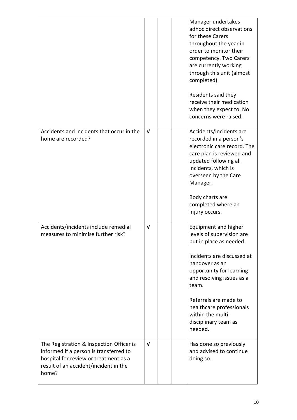|                                                                                                                                                                               |              |  | Manager undertakes<br>adhoc direct observations<br>for these Carers<br>throughout the year in<br>order to monitor their<br>competency. Two Carers<br>are currently working<br>through this unit (almost<br>completed).<br>Residents said they<br>receive their medication<br>when they expect to. No<br>concerns were raised. |
|-------------------------------------------------------------------------------------------------------------------------------------------------------------------------------|--------------|--|-------------------------------------------------------------------------------------------------------------------------------------------------------------------------------------------------------------------------------------------------------------------------------------------------------------------------------|
| Accidents and incidents that occur in the<br>home are recorded?                                                                                                               | $\mathbf{v}$ |  | Accidents/incidents are<br>recorded in a person's<br>electronic care record. The<br>care plan is reviewed and<br>updated following all<br>incidents, which is<br>overseen by the Care<br>Manager.<br>Body charts are<br>completed where an<br>injury occurs.                                                                  |
| Accidents/incidents include remedial<br>measures to minimise further risk?                                                                                                    | $\mathbf{v}$ |  | Equipment and higher<br>levels of supervision are<br>put in place as needed.<br>Incidents are discussed at<br>handover as an<br>opportunity for learning<br>and resolving issues as a<br>team.<br>Referrals are made to<br>healthcare professionals<br>within the multi-<br>disciplinary team as<br>needed.                   |
| The Registration & Inspection Officer is<br>informed if a person is transferred to<br>hospital for review or treatment as a<br>result of an accident/incident in the<br>home? | $\mathbf{v}$ |  | Has done so previously<br>and advised to continue<br>doing so.                                                                                                                                                                                                                                                                |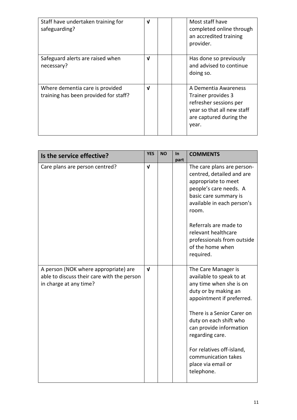| Staff have undertaken training for<br>safeguarding?                      | V |  | Most staff have<br>completed online through<br>an accredited training<br>provider.                                                     |
|--------------------------------------------------------------------------|---|--|----------------------------------------------------------------------------------------------------------------------------------------|
| Safeguard alerts are raised when<br>necessary?                           | V |  | Has done so previously<br>and advised to continue<br>doing so.                                                                         |
| Where dementia care is provided<br>training has been provided for staff? | V |  | A Dementia Awareness<br>Trainer provides 3<br>refresher sessions per<br>year so that all new staff<br>are captured during the<br>year. |

| Is the service effective?                                                                                    | <b>YES</b>   | <b>NO</b> | <b>In</b><br>part | <b>COMMENTS</b>                                                                                                                                                                                                                                                                                                               |
|--------------------------------------------------------------------------------------------------------------|--------------|-----------|-------------------|-------------------------------------------------------------------------------------------------------------------------------------------------------------------------------------------------------------------------------------------------------------------------------------------------------------------------------|
| Care plans are person centred?                                                                               | $\mathbf{v}$ |           |                   | The care plans are person-<br>centred, detailed and are<br>appropriate to meet<br>people's care needs. A<br>basic care summary is<br>available in each person's<br>room.<br>Referrals are made to<br>relevant healthcare<br>professionals from outside<br>of the home when<br>required.                                       |
| A person (NOK where appropriate) are<br>able to discuss their care with the person<br>in charge at any time? | $\mathbf{V}$ |           |                   | The Care Manager is<br>available to speak to at<br>any time when she is on<br>duty or by making an<br>appointment if preferred.<br>There is a Senior Carer on<br>duty on each shift who<br>can provide information<br>regarding care.<br>For relatives off-island,<br>communication takes<br>place via email or<br>telephone. |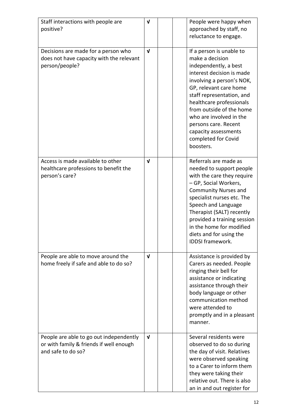| Staff interactions with people are<br>positive?                                                          | $\mathbf v$  |           | People were happy when<br>approached by staff, no<br>reluctance to engage.                                                                                                                                                                                                                                                                      |
|----------------------------------------------------------------------------------------------------------|--------------|-----------|-------------------------------------------------------------------------------------------------------------------------------------------------------------------------------------------------------------------------------------------------------------------------------------------------------------------------------------------------|
| Decisions are made for a person who<br>does not have capacity with the relevant<br>person/people?        | $\mathbf{v}$ | boosters. | If a person is unable to<br>make a decision<br>independently, a best<br>interest decision is made<br>involving a person's NOK,<br>GP, relevant care home<br>staff representation, and<br>healthcare professionals<br>from outside of the home<br>who are involved in the<br>persons care. Recent<br>capacity assessments<br>completed for Covid |
| Access is made available to other<br>healthcare professions to benefit the<br>person's care?             | $\mathbf v$  |           | Referrals are made as<br>needed to support people<br>with the care they require<br>- GP, Social Workers,<br><b>Community Nurses and</b><br>specialist nurses etc. The<br>Speech and Language<br>Therapist (SALT) recently<br>provided a training session<br>in the home for modified<br>diets and for using the<br><b>IDDSI</b> framework.      |
| People are able to move around the<br>home freely if safe and able to do so?                             | $\mathbf v$  | manner.   | Assistance is provided by<br>Carers as needed. People<br>ringing their bell for<br>assistance or indicating<br>assistance through their<br>body language or other<br>communication method<br>were attended to<br>promptly and in a pleasant                                                                                                     |
| People are able to go out independently<br>or with family & friends if well enough<br>and safe to do so? | $\mathbf{v}$ |           | Several residents were<br>observed to do so during<br>the day of visit. Relatives<br>were observed speaking<br>to a Carer to inform them<br>they were taking their<br>relative out. There is also<br>an in and out register for                                                                                                                 |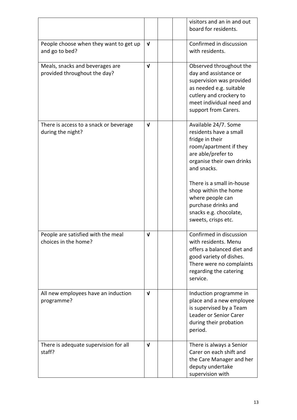|                                                                 |              | visitors and an in and out<br>board for residents.                                                                                                                                                                                                            |
|-----------------------------------------------------------------|--------------|---------------------------------------------------------------------------------------------------------------------------------------------------------------------------------------------------------------------------------------------------------------|
| People choose when they want to get up<br>and go to bed?        | $\mathbf{V}$ | Confirmed in discussion<br>with residents.                                                                                                                                                                                                                    |
| Meals, snacks and beverages are<br>provided throughout the day? | $\mathbf v$  | Observed throughout the<br>day and assistance or<br>supervision was provided<br>as needed e.g. suitable<br>cutlery and crockery to<br>meet individual need and<br>support from Carers.                                                                        |
| There is access to a snack or beverage<br>during the night?     | $\mathbf{V}$ | Available 24/7. Some<br>residents have a small<br>fridge in their<br>room/apartment if they<br>are able/prefer to<br>organise their own drinks<br>and snacks.<br>There is a small in-house<br>shop within the home<br>where people can<br>purchase drinks and |
|                                                                 |              | snacks e.g. chocolate,<br>sweets, crisps etc.                                                                                                                                                                                                                 |
| People are satisfied with the meal<br>choices in the home?      | $\mathbf{v}$ | Confirmed in discussion<br>with residents. Menu<br>offers a balanced diet and<br>good variety of dishes.<br>There were no complaints<br>regarding the catering<br>service.                                                                                    |
| All new employees have an induction<br>programme?               | $\mathbf v$  | Induction programme in<br>place and a new employee<br>is supervised by a Team<br>Leader or Senior Carer<br>during their probation<br>period.                                                                                                                  |
| There is adequate supervision for all<br>staff?                 | $\mathbf{v}$ | There is always a Senior<br>Carer on each shift and<br>the Care Manager and her<br>deputy undertake<br>supervision with                                                                                                                                       |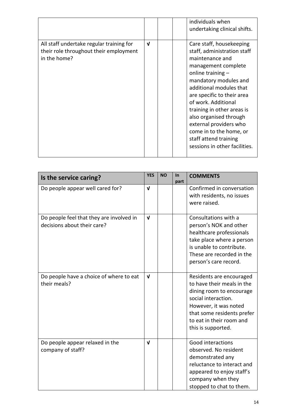|                                                                                                    |              | individuals when<br>undertaking clinical shifts.                                                                                                                                                                                                                                                                                                                                                         |
|----------------------------------------------------------------------------------------------------|--------------|----------------------------------------------------------------------------------------------------------------------------------------------------------------------------------------------------------------------------------------------------------------------------------------------------------------------------------------------------------------------------------------------------------|
| All staff undertake regular training for<br>their role throughout their employment<br>in the home? | $\mathbf{v}$ | Care staff, housekeeping<br>staff, administration staff<br>maintenance and<br>management complete<br>online training $-$<br>mandatory modules and<br>additional modules that<br>are specific to their area<br>of work. Additional<br>training in other areas is<br>also organised through<br>external providers who<br>come in to the home, or<br>staff attend training<br>sessions in other facilities. |

| Is the service caring?                                                  | <b>YES</b>   | <b>NO</b> | In<br>part | <b>COMMENTS</b>                                                                                                                                                                                                    |
|-------------------------------------------------------------------------|--------------|-----------|------------|--------------------------------------------------------------------------------------------------------------------------------------------------------------------------------------------------------------------|
| Do people appear well cared for?                                        | $\mathbf v$  |           |            | Confirmed in conversation<br>with residents, no issues<br>were raised.                                                                                                                                             |
| Do people feel that they are involved in<br>decisions about their care? | $\mathbf{v}$ |           |            | Consultations with a<br>person's NOK and other<br>healthcare professionals<br>take place where a person<br>is unable to contribute.<br>These are recorded in the<br>person's care record.                          |
| Do people have a choice of where to eat<br>their meals?                 | $\mathbf{v}$ |           |            | Residents are encouraged<br>to have their meals in the<br>dining room to encourage<br>social interaction.<br>However, it was noted<br>that some residents prefer<br>to eat in their room and<br>this is supported. |
| Do people appear relaxed in the<br>company of staff?                    | $\mathbf v$  |           |            | Good interactions<br>observed. No resident<br>demonstrated any<br>reluctance to interact and<br>appeared to enjoy staff's<br>company when they<br>stopped to chat to them.                                         |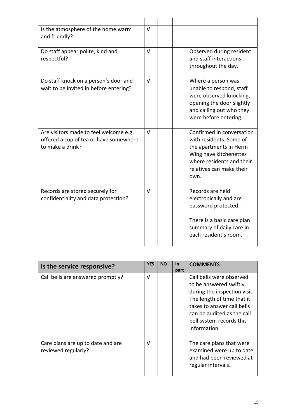| Is the atmosphere of the home warm<br>and friendly?                                                  | $\mathbf{v}$ |  |                                                                                                                                                                           |
|------------------------------------------------------------------------------------------------------|--------------|--|---------------------------------------------------------------------------------------------------------------------------------------------------------------------------|
| Do staff appear polite, kind and<br>respectful?                                                      | $\mathbf{v}$ |  | Observed during resident<br>and staff interactions<br>throughout the day.                                                                                                 |
| Do staff knock on a person's door and<br>wait to be invited in before entering?                      | $\mathbf{v}$ |  | Where a person was<br>unable to respond, staff<br>were observed knocking,<br>opening the door slightly<br>and calling out who they<br>were before entering.               |
| Are visitors made to feel welcome e.g.<br>offered a cup of tea or have somewhere<br>to make a drink? | $\mathbf{v}$ |  | Confirmed in conversation<br>with residents. Some of<br>the apartments in Herm<br>Wing have kitchenettes<br>where residents and their<br>relatives can make their<br>own. |
| Records are stored securely for<br>confidentiality and data protection?                              | V            |  | Records are held<br>electronically and are<br>password protected.<br>There is a basic care plan<br>summary of daily care in<br>each resident's room.                      |

| Is the service responsive?                               | <b>YES</b> | <b>NO</b> | <b>In</b><br>part | <b>COMMENTS</b>                                                                                                                                                                                                          |
|----------------------------------------------------------|------------|-----------|-------------------|--------------------------------------------------------------------------------------------------------------------------------------------------------------------------------------------------------------------------|
| Call bells are answered promptly?                        | V          |           |                   | Call bells were observed<br>to be answered swiftly<br>during the inspection visit.<br>The length of time that it<br>takes to answer call bells<br>can be audited as the call<br>bell system records this<br>information. |
| Care plans are up to date and are<br>reviewed regularly? | V          |           |                   | The care plans that were<br>examined were up to date<br>and had been reviewed at<br>regular intervals.                                                                                                                   |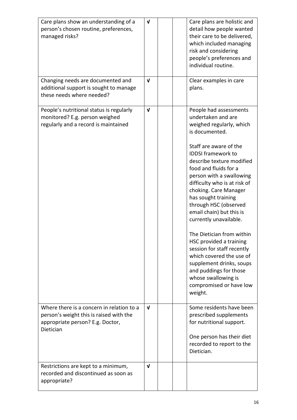| Care plans show an understanding of a<br>person's chosen routine, preferences,<br>managed risks?                                      | $\mathbf{v}$ |  | Care plans are holistic and<br>detail how people wanted<br>their care to be delivered,<br>which included managing<br>risk and considering<br>people's preferences and<br>individual routine.                                                                                                                                                                                                                                                                                                                                                                                                                                            |
|---------------------------------------------------------------------------------------------------------------------------------------|--------------|--|-----------------------------------------------------------------------------------------------------------------------------------------------------------------------------------------------------------------------------------------------------------------------------------------------------------------------------------------------------------------------------------------------------------------------------------------------------------------------------------------------------------------------------------------------------------------------------------------------------------------------------------------|
| Changing needs are documented and<br>additional support is sought to manage<br>these needs where needed?                              | $\mathbf{v}$ |  | Clear examples in care<br>plans.                                                                                                                                                                                                                                                                                                                                                                                                                                                                                                                                                                                                        |
| People's nutritional status is regularly<br>monitored? E.g. person weighed<br>regularly and a record is maintained                    | $\mathbf{v}$ |  | People had assessments<br>undertaken and are<br>weighed regularly, which<br>is documented.<br>Staff are aware of the<br><b>IDDSI</b> framework to<br>describe texture modified<br>food and fluids for a<br>person with a swallowing<br>difficulty who is at risk of<br>choking. Care Manager<br>has sought training<br>through HSC (observed<br>email chain) but this is<br>currently unavailable.<br>The Dietician from within<br>HSC provided a training<br>session for staff recently<br>which covered the use of<br>supplement drinks, soups<br>and puddings for those<br>whose swallowing is<br>compromised or have low<br>weight. |
| Where there is a concern in relation to a<br>person's weight this is raised with the<br>appropriate person? E.g. Doctor,<br>Dietician | $\mathbf{v}$ |  | Some residents have been<br>prescribed supplements<br>for nutritional support.<br>One person has their diet<br>recorded to report to the<br>Dietician.                                                                                                                                                                                                                                                                                                                                                                                                                                                                                  |
| Restrictions are kept to a minimum,<br>recorded and discontinued as soon as<br>appropriate?                                           | $\mathbf{v}$ |  |                                                                                                                                                                                                                                                                                                                                                                                                                                                                                                                                                                                                                                         |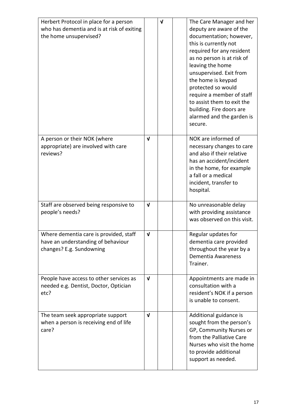| Herbert Protocol in place for a person<br>who has dementia and is at risk of exiting<br>the home unsupervised? |              | $\sqrt{ }$ | The Care Manager and her<br>deputy are aware of the<br>documentation; however,<br>this is currently not<br>required for any resident<br>as no person is at risk of<br>leaving the home<br>unsupervised. Exit from<br>the home is keypad<br>protected so would<br>require a member of staff<br>to assist them to exit the |
|----------------------------------------------------------------------------------------------------------------|--------------|------------|--------------------------------------------------------------------------------------------------------------------------------------------------------------------------------------------------------------------------------------------------------------------------------------------------------------------------|
|                                                                                                                |              |            | building. Fire doors are<br>alarmed and the garden is<br>secure.                                                                                                                                                                                                                                                         |
| A person or their NOK (where<br>appropriate) are involved with care<br>reviews?                                | $\mathbf v$  |            | NOK are informed of<br>necessary changes to care<br>and also if their relative<br>has an accident/incident<br>in the home, for example<br>a fall or a medical<br>incident, transfer to<br>hospital.                                                                                                                      |
| Staff are observed being responsive to<br>people's needs?                                                      | $\mathbf{v}$ |            | No unreasonable delay<br>with providing assistance<br>was observed on this visit.                                                                                                                                                                                                                                        |
| Where dementia care is provided, staff<br>have an understanding of behaviour<br>changes? E.g. Sundowning       | $\mathbf{v}$ |            | Regular updates for<br>dementia care provided<br>throughout the year by a<br><b>Dementia Awareness</b><br>Trainer.                                                                                                                                                                                                       |
| People have access to other services as<br>needed e.g. Dentist, Doctor, Optician<br>etc?                       | $\mathbf{v}$ |            | Appointments are made in<br>consultation with a<br>resident's NOK if a person<br>is unable to consent.                                                                                                                                                                                                                   |
| The team seek appropriate support<br>when a person is receiving end of life<br>care?                           | $\mathbf{v}$ |            | Additional guidance is<br>sought from the person's<br>GP, Community Nurses or<br>from the Palliative Care<br>Nurses who visit the home<br>to provide additional<br>support as needed.                                                                                                                                    |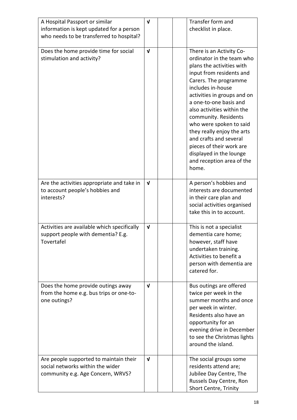| A Hospital Passport or similar<br>information is kept updated for a person<br>who needs to be transferred to hospital? | $\mathbf v$  | Transfer form and<br>checklist in place.                                                                                                                                                                                                                                                                                                                                                                                                                    |
|------------------------------------------------------------------------------------------------------------------------|--------------|-------------------------------------------------------------------------------------------------------------------------------------------------------------------------------------------------------------------------------------------------------------------------------------------------------------------------------------------------------------------------------------------------------------------------------------------------------------|
| Does the home provide time for social<br>stimulation and activity?                                                     | $\mathbf{v}$ | There is an Activity Co-<br>ordinator in the team who<br>plans the activities with<br>input from residents and<br>Carers. The programme<br>includes in-house<br>activities in groups and on<br>a one-to-one basis and<br>also activities within the<br>community. Residents<br>who were spoken to said<br>they really enjoy the arts<br>and crafts and several<br>pieces of their work are<br>displayed in the lounge<br>and reception area of the<br>home. |
| Are the activities appropriate and take in<br>to account people's hobbies and<br>interests?                            | $\mathbf v$  | A person's hobbies and<br>interests are documented<br>in their care plan and<br>social activities organised<br>take this in to account.                                                                                                                                                                                                                                                                                                                     |
| Activities are available which specifically<br>support people with dementia? E.g.<br>Tovertafel                        | $\mathbf v$  | This is not a specialist<br>dementia care home;<br>however, staff have<br>undertaken training.<br>Activities to benefit a<br>person with dementia are<br>catered for.                                                                                                                                                                                                                                                                                       |
| Does the home provide outings away<br>from the home e.g. bus trips or one-to-<br>one outings?                          | $\mathbf{v}$ | Bus outings are offered<br>twice per week in the<br>summer months and once<br>per week in winter.<br>Residents also have an<br>opportunity for an<br>evening drive in December<br>to see the Christmas lights<br>around the island.                                                                                                                                                                                                                         |
| Are people supported to maintain their<br>social networks within the wider<br>community e.g. Age Concern, WRVS?        | V            | The social groups some<br>residents attend are;<br>Jubilee Day Centre, The<br>Russels Day Centre, Ron<br>Short Centre, Trinity                                                                                                                                                                                                                                                                                                                              |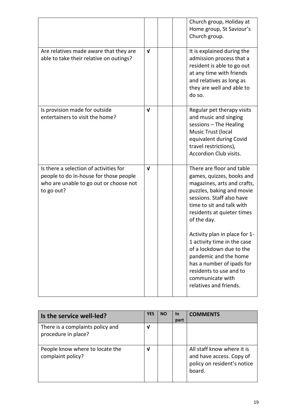|                                                                                                                                          |              |  | Church group, Holiday at<br>Home group, St Saviour's<br>Church group.                                                                                                                                                                                                                                                                                                                                                                                |
|------------------------------------------------------------------------------------------------------------------------------------------|--------------|--|------------------------------------------------------------------------------------------------------------------------------------------------------------------------------------------------------------------------------------------------------------------------------------------------------------------------------------------------------------------------------------------------------------------------------------------------------|
| Are relatives made aware that they are<br>able to take their relative on outings?                                                        | $\mathbf{V}$ |  | It is explained during the<br>admission process that a<br>resident is able to go out<br>at any time with friends<br>and relatives as long as<br>they are well and able to<br>do so.                                                                                                                                                                                                                                                                  |
| Is provision made for outside<br>entertainers to visit the home?                                                                         | $\sqrt{ }$   |  | Regular pet therapy visits<br>and music and singing<br>sessions - The Healing<br>Music Trust (local<br>equivalent during Covid<br>travel restrictions),<br><b>Accordion Club visits.</b>                                                                                                                                                                                                                                                             |
| Is there a selection of activities for<br>people to do in-house for those people<br>who are unable to go out or choose not<br>to go out? | $\mathbf{v}$ |  | There are floor and table<br>games, quizzes, books and<br>magazines, arts and crafts,<br>puzzles, baking and movie<br>sessions. Staff also have<br>time to sit and talk with<br>residents at quieter times<br>of the day.<br>Activity plan in place for 1-<br>1 activity time in the case<br>of a lockdown due to the<br>pandemic and the home<br>has a number of ipads for<br>residents to use and to<br>communicate with<br>relatives and friends. |

| Is the service well-led?                                | <b>YES</b> | <b>NO</b> | <u>In</u><br>part | <b>COMMENTS</b>                                                                                 |
|---------------------------------------------------------|------------|-----------|-------------------|-------------------------------------------------------------------------------------------------|
| There is a complaints policy and<br>procedure in place? | V          |           |                   |                                                                                                 |
| People know where to locate the<br>complaint policy?    | ν          |           |                   | All staff know where it is<br>and have access. Copy of<br>policy on resident's notice<br>board. |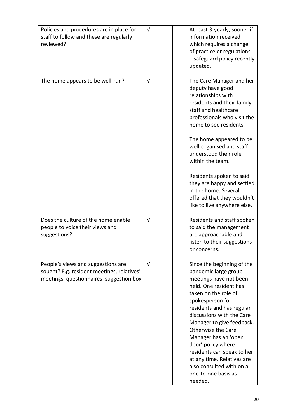| Policies and procedures are in place for<br>staff to follow and these are regularly<br>reviewed?                             | $\mathbf{v}$ | At least 3-yearly, sooner if<br>information received<br>which requires a change<br>of practice or regulations<br>- safeguard policy recently<br>updated.                                                                                                                                                                                                                                                                                |
|------------------------------------------------------------------------------------------------------------------------------|--------------|-----------------------------------------------------------------------------------------------------------------------------------------------------------------------------------------------------------------------------------------------------------------------------------------------------------------------------------------------------------------------------------------------------------------------------------------|
| The home appears to be well-run?                                                                                             | $\mathbf v$  | The Care Manager and her<br>deputy have good<br>relationships with<br>residents and their family,<br>staff and healthcare<br>professionals who visit the<br>home to see residents.<br>The home appeared to be<br>well-organised and staff<br>understood their role<br>within the team.<br>Residents spoken to said<br>they are happy and settled<br>in the home. Several<br>offered that they wouldn't<br>like to live anywhere else.   |
| Does the culture of the home enable<br>people to voice their views and<br>suggestions?                                       | $\mathbf{v}$ | Residents and staff spoken<br>to said the management<br>are approachable and<br>listen to their suggestions<br>or concerns.                                                                                                                                                                                                                                                                                                             |
| People's views and suggestions are<br>sought? E.g. resident meetings, relatives'<br>meetings, questionnaires, suggestion box | $\mathbf{v}$ | Since the beginning of the<br>pandemic large group<br>meetings have not been<br>held. One resident has<br>taken on the role of<br>spokesperson for<br>residents and has regular<br>discussions with the Care<br>Manager to give feedback.<br>Otherwise the Care<br>Manager has an 'open<br>door' policy where<br>residents can speak to her<br>at any time. Relatives are<br>also consulted with on a<br>one-to-one basis as<br>needed. |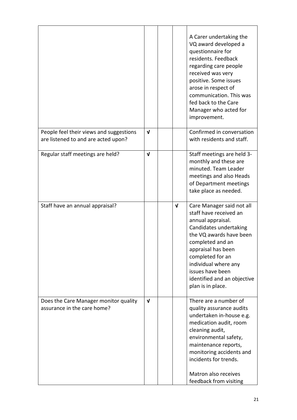|                                                                                |              |              | A Carer undertaking the<br>VQ award developed a<br>questionnaire for<br>residents. Feedback<br>regarding care people<br>received was very<br>positive. Some issues<br>arose in respect of<br>communication. This was<br>fed back to the Care<br>Manager who acted for<br>improvement.       |
|--------------------------------------------------------------------------------|--------------|--------------|---------------------------------------------------------------------------------------------------------------------------------------------------------------------------------------------------------------------------------------------------------------------------------------------|
| People feel their views and suggestions<br>are listened to and are acted upon? | $\mathbf v$  |              | Confirmed in conversation<br>with residents and staff.                                                                                                                                                                                                                                      |
| Regular staff meetings are held?                                               | $\mathbf v$  |              | Staff meetings are held 3-<br>monthly and these are<br>minuted. Team Leader<br>meetings and also Heads<br>of Department meetings<br>take place as needed.                                                                                                                                   |
| Staff have an annual appraisal?                                                |              | $\mathbf{v}$ | Care Manager said not all<br>staff have received an<br>annual appraisal.<br>Candidates undertaking<br>the VQ awards have been<br>completed and an<br>appraisal has been<br>completed for an<br>individual where any<br>issues have been<br>identified and an objective<br>plan is in place. |
| Does the Care Manager monitor quality<br>assurance in the care home?           | $\mathbf{v}$ |              | There are a number of<br>quality assurance audits<br>undertaken in-house e.g.<br>medication audit, room<br>cleaning audit,<br>environmental safety,<br>maintenance reports,<br>monitoring accidents and<br>incidents for trends.<br>Matron also receives<br>feedback from visiting          |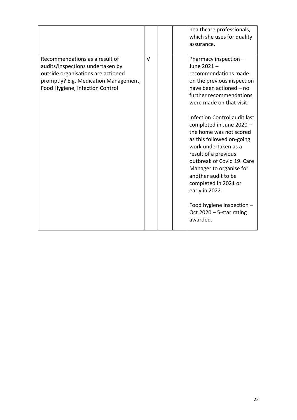|                                                                                                                                                                                      |             |  | healthcare professionals,<br>which she uses for quality<br>assurance.                                                                                                                                                                                                                                                                                                                                                                                                                                                                             |
|--------------------------------------------------------------------------------------------------------------------------------------------------------------------------------------|-------------|--|---------------------------------------------------------------------------------------------------------------------------------------------------------------------------------------------------------------------------------------------------------------------------------------------------------------------------------------------------------------------------------------------------------------------------------------------------------------------------------------------------------------------------------------------------|
| Recommendations as a result of<br>audits/inspections undertaken by<br>outside organisations are actioned<br>promptly? E.g. Medication Management,<br>Food Hygiene, Infection Control | $\mathbf v$ |  | Pharmacy inspection -<br>June 2021-<br>recommendations made<br>on the previous inspection<br>have been actioned - no<br>further recommendations<br>were made on that visit.<br>Infection Control audit last<br>completed in June 2020 -<br>the home was not scored<br>as this followed on-going<br>work undertaken as a<br>result of a previous<br>outbreak of Covid 19. Care<br>Manager to organise for<br>another audit to be<br>completed in 2021 or<br>early in 2022.<br>Food hygiene inspection -<br>Oct $2020 - 5$ -star rating<br>awarded. |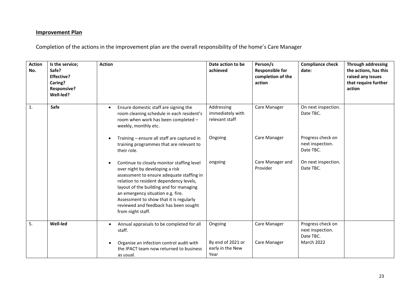#### **Improvement Plan**

Completion of the actions in the improvement plan are the overall responsibility of the home's Care Manager

| <b>Action</b><br>No. | Is the service;<br>Safe?<br><b>Effective?</b><br>Caring?<br><b>Responsive?</b><br>Well-led? | <b>Action</b>                                                                                                                                                                                                                                                                                                                                                  | Date action to be<br>achieved                    | Person/s<br><b>Responsible for</b><br>completion of the<br>action | <b>Compliance check</b><br>date:                   | <b>Through addressing</b><br>the actions, has this<br>raised any issues<br>that require further<br>action |
|----------------------|---------------------------------------------------------------------------------------------|----------------------------------------------------------------------------------------------------------------------------------------------------------------------------------------------------------------------------------------------------------------------------------------------------------------------------------------------------------------|--------------------------------------------------|-------------------------------------------------------------------|----------------------------------------------------|-----------------------------------------------------------------------------------------------------------|
| 1.                   | Safe                                                                                        | Ensure domestic staff are signing the<br>$\bullet$<br>room cleaning schedule in each resident's<br>room when work has been completed -<br>weekly, monthly etc.                                                                                                                                                                                                 | Addressing<br>immediately with<br>relevant staff | Care Manager                                                      | On next inspection.<br>Date TBC.                   |                                                                                                           |
|                      |                                                                                             | Training - ensure all staff are captured in<br>training programmes that are relevant to<br>their role.                                                                                                                                                                                                                                                         | Ongoing                                          | Care Manager                                                      | Progress check on<br>next inspection.<br>Date TBC. |                                                                                                           |
|                      |                                                                                             | Continue to closely monitor staffing level<br>over night by developing a risk<br>assessment to ensure adequate staffing in<br>relation to resident dependency levels,<br>layout of the building and for managing<br>an emergency situation e.g. fire.<br>Assessment to show that it is regularly<br>reviewed and feedback has been sought<br>from night staff. | ongoing                                          | Care Manager and<br>Provider                                      | On next inspection.<br>Date TBC.                   |                                                                                                           |
| 5.                   | <b>Well-led</b>                                                                             | Annual appraisals to be completed for all<br>$\bullet$<br>staff.                                                                                                                                                                                                                                                                                               | Ongoing                                          | Care Manager                                                      | Progress check on<br>next inspection.<br>Date TBC. |                                                                                                           |
|                      |                                                                                             | Organise an infection control audit with<br>the IPACT team now returned to business<br>as usual.                                                                                                                                                                                                                                                               | By end of 2021 or<br>early in the New<br>Year    | Care Manager                                                      | <b>March 2022</b>                                  |                                                                                                           |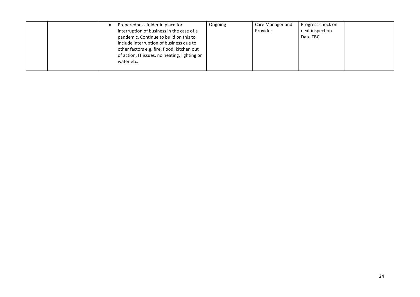|  | Preparedness folder in place for              | Ongoing | Care Manager and | Progress check on |  |
|--|-----------------------------------------------|---------|------------------|-------------------|--|
|  | interruption of business in the case of a     |         | Provider         | next inspection.  |  |
|  | pandemic. Continue to build on this to        |         |                  | Date TBC.         |  |
|  | include interruption of business due to       |         |                  |                   |  |
|  | other factors e.g. fire, flood, kitchen out   |         |                  |                   |  |
|  | of action, IT issues, no heating, lighting or |         |                  |                   |  |
|  | water etc.                                    |         |                  |                   |  |
|  |                                               |         |                  |                   |  |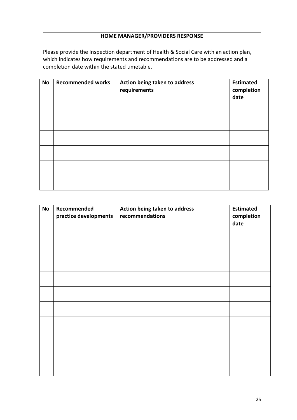# **HOME MANAGER/PROVIDERS RESPONSE**

Please provide the Inspection department of Health & Social Care with an action plan, which indicates how requirements and recommendations are to be addressed and a completion date within the stated timetable.

| <b>No</b> | <b>Recommended works</b> | Action being taken to address<br>requirements | <b>Estimated</b><br>completion<br>date |
|-----------|--------------------------|-----------------------------------------------|----------------------------------------|
|           |                          |                                               |                                        |
|           |                          |                                               |                                        |
|           |                          |                                               |                                        |
|           |                          |                                               |                                        |
|           |                          |                                               |                                        |
|           |                          |                                               |                                        |

| <b>No</b> | Recommended<br>practice developments | Action being taken to address<br>recommendations | <b>Estimated</b><br>completion<br>date |
|-----------|--------------------------------------|--------------------------------------------------|----------------------------------------|
|           |                                      |                                                  |                                        |
|           |                                      |                                                  |                                        |
|           |                                      |                                                  |                                        |
|           |                                      |                                                  |                                        |
|           |                                      |                                                  |                                        |
|           |                                      |                                                  |                                        |
|           |                                      |                                                  |                                        |
|           |                                      |                                                  |                                        |
|           |                                      |                                                  |                                        |
|           |                                      |                                                  |                                        |